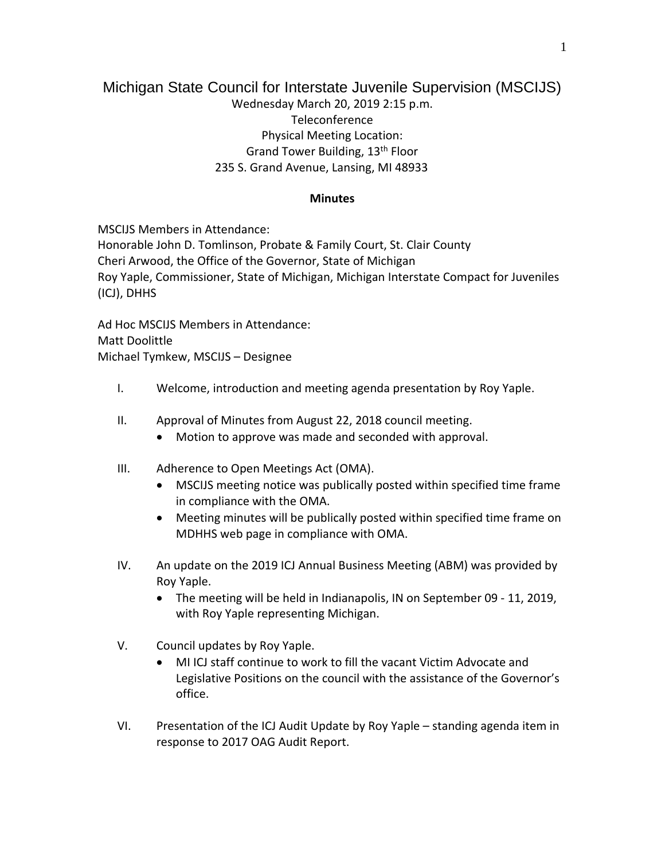## Michigan State Council for Interstate Juvenile Supervision (MSCIJS) Wednesday March 20, 2019 2:15 p.m. Teleconference Physical Meeting Location: Grand Tower Building, 13th Floor 235 S. Grand Avenue, Lansing, MI 48933

## **Minutes**

MSCIJS Members in Attendance:

Honorable John D. Tomlinson, Probate & Family Court, St. Clair County Cheri Arwood, the Office of the Governor, State of Michigan Roy Yaple, Commissioner, State of Michigan, Michigan Interstate Compact for Juveniles (ICJ), DHHS

Ad Hoc MSCIJS Members in Attendance: Matt Doolittle Michael Tymkew, MSCIJS – Designee

- I. Welcome, introduction and meeting agenda presentation by Roy Yaple.
- II. Approval of Minutes from August 22, 2018 council meeting.
	- Motion to approve was made and seconded with approval.
- III. Adherence to Open Meetings Act (OMA).
	- MSCIJS meeting notice was publically posted within specified time frame in compliance with the OMA.
	- Meeting minutes will be publically posted within specified time frame on MDHHS web page in compliance with OMA.
- IV. An update on the 2019 ICJ Annual Business Meeting (ABM) was provided by Roy Yaple.
	- The meeting will be held in Indianapolis, IN on September 09 11, 2019, with Roy Yaple representing Michigan.
- V. Council updates by Roy Yaple.
	- MI ICJ staff continue to work to fill the vacant Victim Advocate and Legislative Positions on the council with the assistance of the Governor's office.
- VI. Presentation of the ICJ Audit Update by Roy Yaple standing agenda item in response to 2017 OAG Audit Report.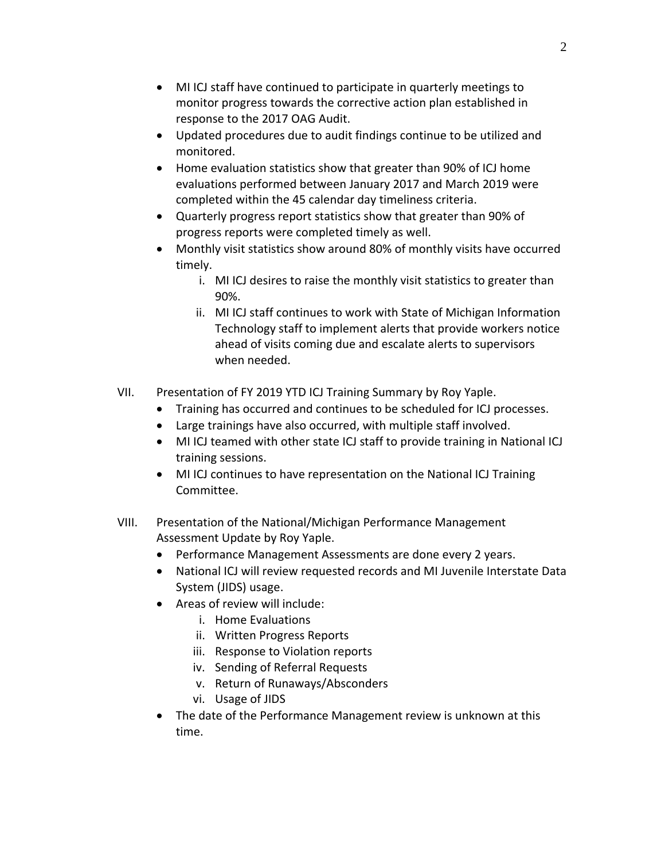- MI ICJ staff have continued to participate in quarterly meetings to monitor progress towards the corrective action plan established in response to the 2017 OAG Audit.
- Updated procedures due to audit findings continue to be utilized and monitored.
- Home evaluation statistics show that greater than 90% of ICJ home evaluations performed between January 2017 and March 2019 were completed within the 45 calendar day timeliness criteria.
- Quarterly progress report statistics show that greater than 90% of progress reports were completed timely as well.
- Monthly visit statistics show around 80% of monthly visits have occurred timely.
	- i. MI ICJ desires to raise the monthly visit statistics to greater than 90%.
	- ii. MI ICJ staff continues to work with State of Michigan Information Technology staff to implement alerts that provide workers notice ahead of visits coming due and escalate alerts to supervisors when needed.
- VII. Presentation of FY 2019 YTD ICJ Training Summary by Roy Yaple.
	- Training has occurred and continues to be scheduled for ICJ processes.
	- Large trainings have also occurred, with multiple staff involved.
	- MI ICJ teamed with other state ICJ staff to provide training in National ICJ training sessions.
	- MI ICJ continues to have representation on the National ICJ Training Committee.
- VIII. Presentation of the National/Michigan Performance Management Assessment Update by Roy Yaple.
	- Performance Management Assessments are done every 2 years.
	- National ICJ will review requested records and MI Juvenile Interstate Data System (JIDS) usage.
	- Areas of review will include:
		- i. Home Evaluations
		- ii. Written Progress Reports
		- iii. Response to Violation reports
		- iv. Sending of Referral Requests
		- v. Return of Runaways/Absconders
		- vi. Usage of JIDS
	- The date of the Performance Management review is unknown at this time.